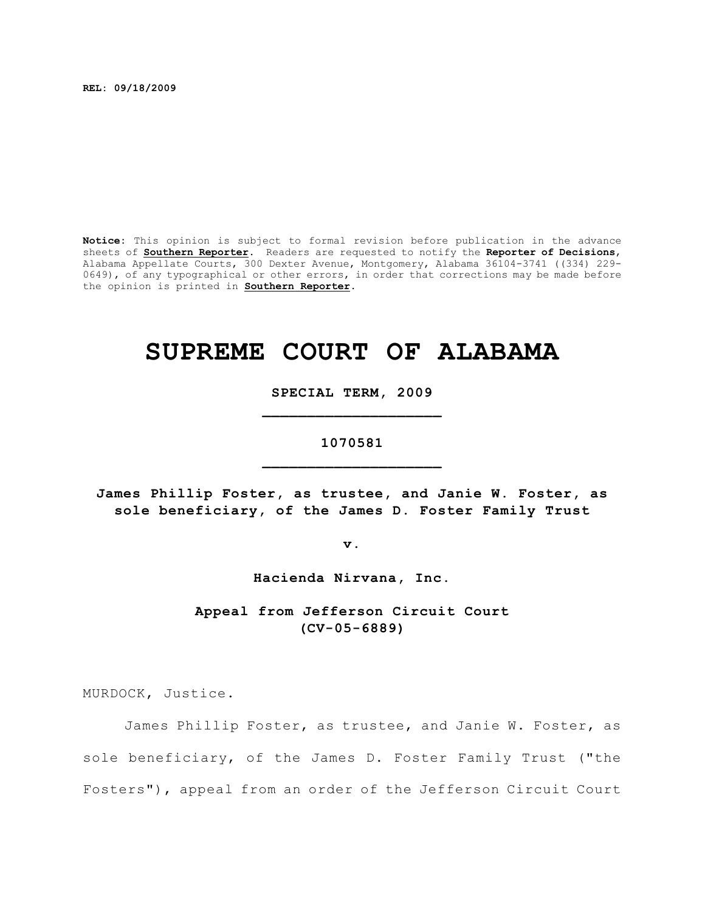**REL: 09/18/2009**

**Notice:** This opinion is subject to formal revision before publication in the advance sheets of **Southern Reporter**. Readers are requested to notify the **Reporter of Decisions**, Alabama Appellate Courts, 300 Dexter Avenue, Montgomery, Alabama 36104-3741 ((334) 229- 0649), of any typographical or other errors, in order that corrections may be made before the opinion is printed in **Southern Reporter**.

# **SUPREME COURT OF ALABAMA**

**SPECIAL TERM, 2009 \_\_\_\_\_\_\_\_\_\_\_\_\_\_\_\_\_\_\_\_**

# **1070581 \_\_\_\_\_\_\_\_\_\_\_\_\_\_\_\_\_\_\_\_**

**James Phillip Foster, as trustee, and Janie W. Foster, as sole beneficiary, of the James D. Foster Family Trust**

**v.**

**Hacienda Nirvana, Inc.**

**Appeal from Jefferson Circuit Court (CV-05-6889)**

MURDOCK, Justice.

James Phillip Foster, as trustee, and Janie W. Foster, as sole beneficiary, of the James D. Foster Family Trust ("the Fosters"), appeal from an order of the Jefferson Circuit Court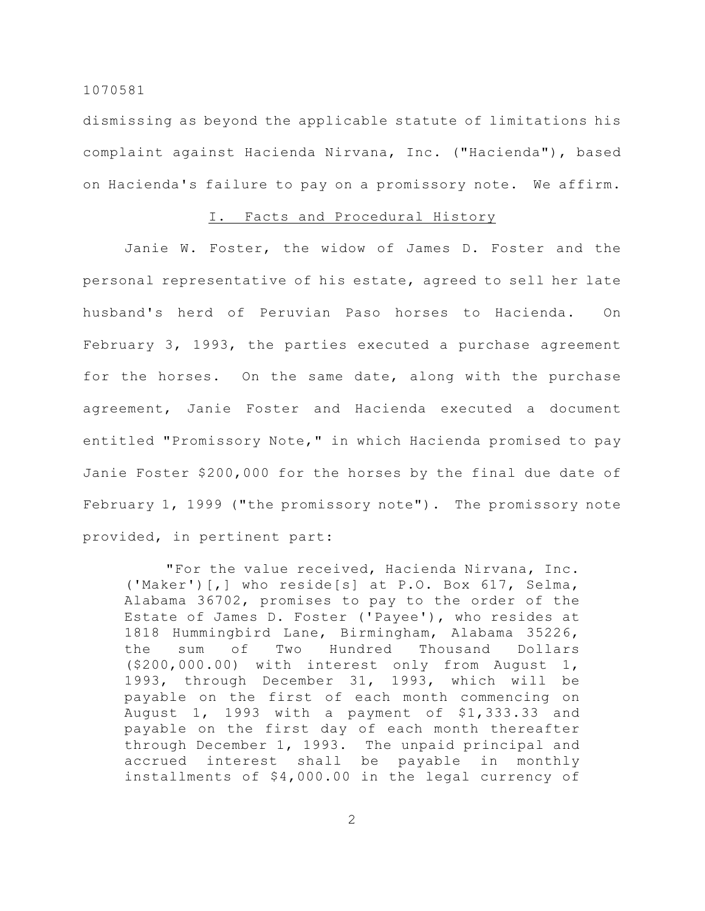dismissing as beyond the applicable statute of limitations his complaint against Hacienda Nirvana, Inc. ("Hacienda"), based on Hacienda's failure to pay on a promissory note. We affirm.

# I. Facts and Procedural History

Janie W. Foster, the widow of James D. Foster and the personal representative of his estate, agreed to sell her late husband's herd of Peruvian Paso horses to Hacienda. On February 3, 1993, the parties executed a purchase agreement for the horses. On the same date, along with the purchase agreement, Janie Foster and Hacienda executed a document entitled "Promissory Note," in which Hacienda promised to pay Janie Foster \$200,000 for the horses by the final due date of February 1, 1999 ("the promissory note"). The promissory note provided, in pertinent part:

"For the value received, Hacienda Nirvana, Inc. ('Maker')[,] who reside[s] at P.O. Box 617, Selma, Alabama 36702, promises to pay to the order of the Estate of James D. Foster ('Payee'), who resides at 1818 Hummingbird Lane, Birmingham, Alabama 35226, the sum of Two Hundred Thousand Dollars (\$200,000.00) with interest only from August 1, 1993, through December 31, 1993, which will be payable on the first of each month commencing on August 1, 1993 with a payment of \$1,333.33 and payable on the first day of each month thereafter through December 1, 1993. The unpaid principal and accrued interest shall be payable in monthly installments of \$4,000.00 in the legal currency of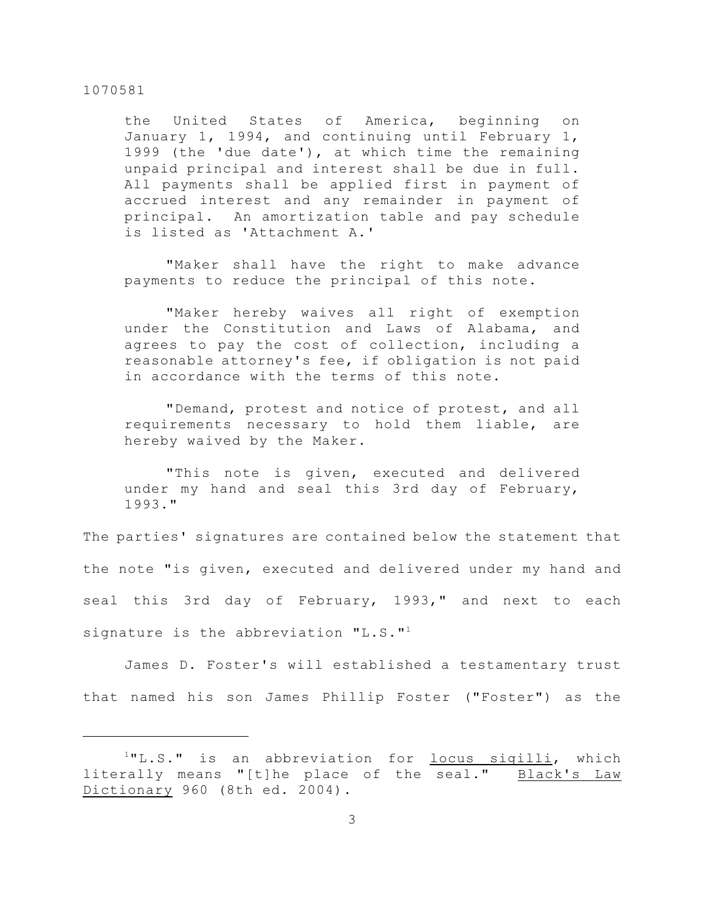the United States of America, beginning on January 1, 1994, and continuing until February 1, 1999 (the 'due date'), at which time the remaining unpaid principal and interest shall be due in full. All payments shall be applied first in payment of accrued interest and any remainder in payment of principal. An amortization table and pay schedule is listed as 'Attachment A.'

"Maker shall have the right to make advance payments to reduce the principal of this note.

"Maker hereby waives all right of exemption under the Constitution and Laws of Alabama, and agrees to pay the cost of collection, including a reasonable attorney's fee, if obligation is not paid in accordance with the terms of this note.

"Demand, protest and notice of protest, and all requirements necessary to hold them liable, are hereby waived by the Maker.

"This note is given, executed and delivered under my hand and seal this 3rd day of February, 1993."

The parties' signatures are contained below the statement that the note "is given, executed and delivered under my hand and seal this 3rd day of February, 1993," and next to each signature is the abbreviation "L.S."<sup>1</sup>

James D. Foster's will established a testamentary trust that named his son James Phillip Foster ("Foster") as the

 $1"L.S."$  is an abbreviation for  $\frac{locus}{sign}$  sigilli, which literally means "[t]he place of the seal." Black's Law Dictionary 960 (8th ed. 2004).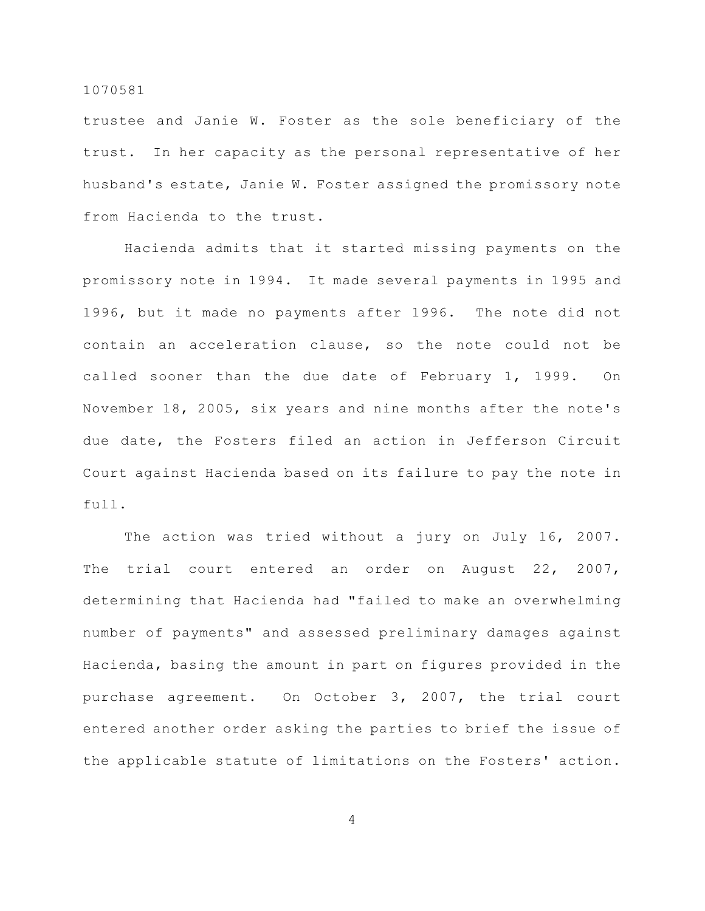trustee and Janie W. Foster as the sole beneficiary of the trust. In her capacity as the personal representative of her husband's estate, Janie W. Foster assigned the promissory note from Hacienda to the trust.

Hacienda admits that it started missing payments on the promissory note in 1994. It made several payments in 1995 and 1996, but it made no payments after 1996. The note did not contain an acceleration clause, so the note could not be called sooner than the due date of February 1, 1999. On November 18, 2005, six years and nine months after the note's due date, the Fosters filed an action in Jefferson Circuit Court against Hacienda based on its failure to pay the note in full.

The action was tried without a jury on July 16, 2007. The trial court entered an order on August 22, 2007, determining that Hacienda had "failed to make an overwhelming number of payments" and assessed preliminary damages against Hacienda, basing the amount in part on figures provided in the purchase agreement. On October 3, 2007, the trial court entered another order asking the parties to brief the issue of the applicable statute of limitations on the Fosters' action.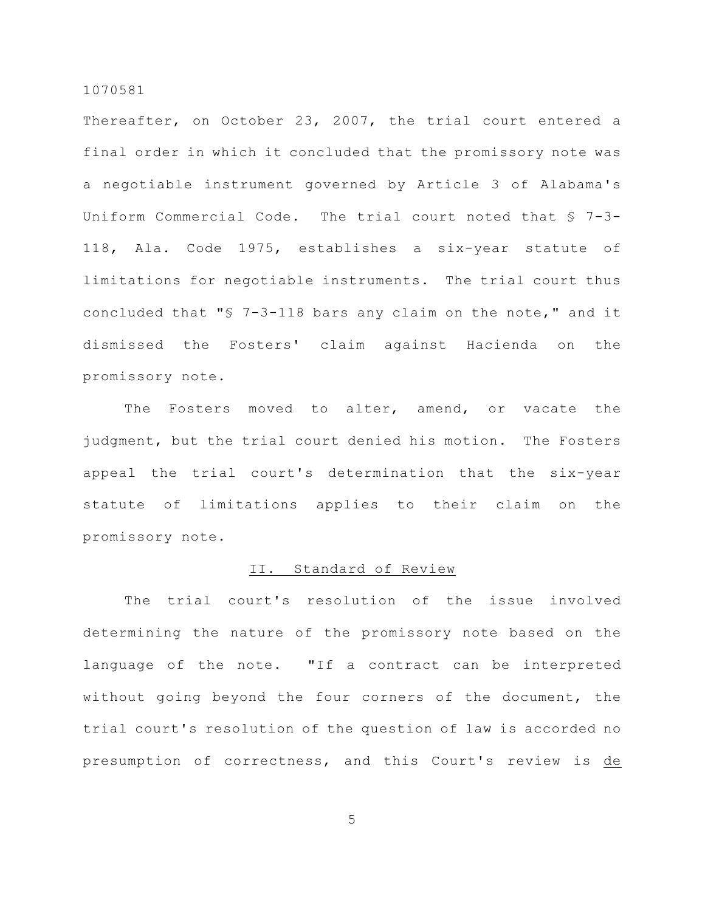Thereafter, on October 23, 2007, the trial court entered a final order in which it concluded that the promissory note was a negotiable instrument governed by Article 3 of Alabama's Uniform Commercial Code. The trial court noted that § 7-3- 118, Ala. Code 1975, establishes a six-year statute of limitations for negotiable instruments. The trial court thus concluded that "§ 7-3-118 bars any claim on the note," and it dismissed the Fosters' claim against Hacienda on the promissory note.

The Fosters moved to alter, amend, or vacate the judgment, but the trial court denied his motion. The Fosters appeal the trial court's determination that the six-year statute of limitations applies to their claim on the promissory note.

### II. Standard of Review

The trial court's resolution of the issue involved determining the nature of the promissory note based on the language of the note. "If a contract can be interpreted without going beyond the four corners of the document, the trial court's resolution of the question of law is accorded no presumption of correctness, and this Court's review is de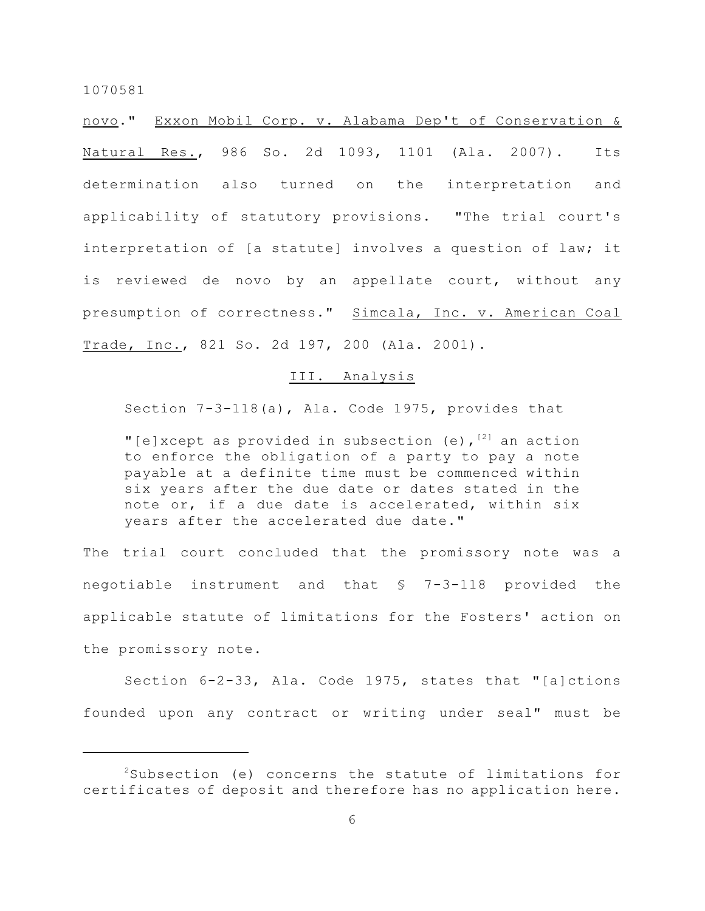novo." Exxon Mobil Corp. v. Alabama Dep't of Conservation & Natural Res., 986 So. 2d 1093, 1101 (Ala. 2007). Its determination also turned on the interpretation and applicability of statutory provisions. "The trial court's interpretation of [a statute] involves a question of law; it is reviewed de novo by an appellate court, without any presumption of correctness." Simcala, Inc. v. American Coal Trade, Inc., 821 So. 2d 197, 200 (Ala. 2001).

### III. Analysis

Section 7-3-118(a), Ala. Code 1975, provides that

"[e]xcept as provided in subsection (e),  $[2]$  an action to enforce the obligation of a party to pay a note payable at a definite time must be commenced within six years after the due date or dates stated in the note or, if a due date is accelerated, within six years after the accelerated due date."

The trial court concluded that the promissory note was a negotiable instrument and that § 7-3-118 provided the applicable statute of limitations for the Fosters' action on the promissory note.

Section 6-2-33, Ala. Code 1975, states that "[a]ctions founded upon any contract or writing under seal" must be

 $2$ Subsection (e) concerns the statute of limitations for certificates of deposit and therefore has no application here.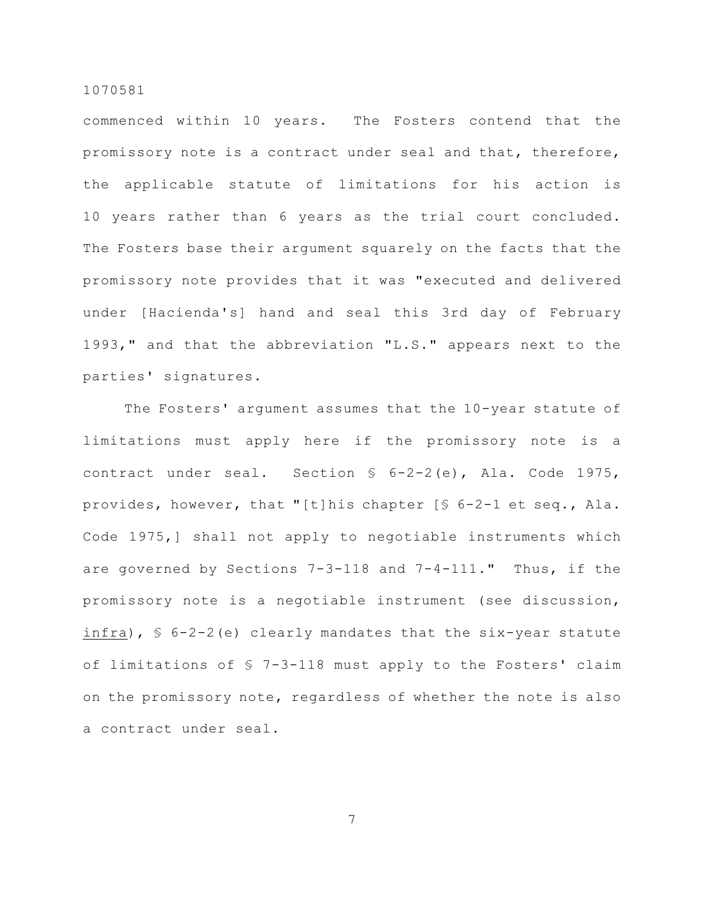commenced within 10 years. The Fosters contend that the promissory note is a contract under seal and that, therefore, the applicable statute of limitations for his action is 10 years rather than 6 years as the trial court concluded. The Fosters base their argument squarely on the facts that the promissory note provides that it was "executed and delivered under [Hacienda's] hand and seal this 3rd day of February 1993," and that the abbreviation "L.S." appears next to the parties' signatures.

The Fosters' argument assumes that the 10-year statute of limitations must apply here if the promissory note is a contract under seal. Section § 6-2-2(e), Ala. Code 1975, provides, however, that "[t]his chapter [§ 6-2-1 et seq., Ala. Code 1975,] shall not apply to negotiable instruments which are governed by Sections 7-3-118 and 7-4-111." Thus, if the promissory note is a negotiable instrument (see discussion, infra),  $\sqrt{5}$  6-2-2(e) clearly mandates that the six-year statute of limitations of § 7-3-118 must apply to the Fosters' claim on the promissory note, regardless of whether the note is also a contract under seal.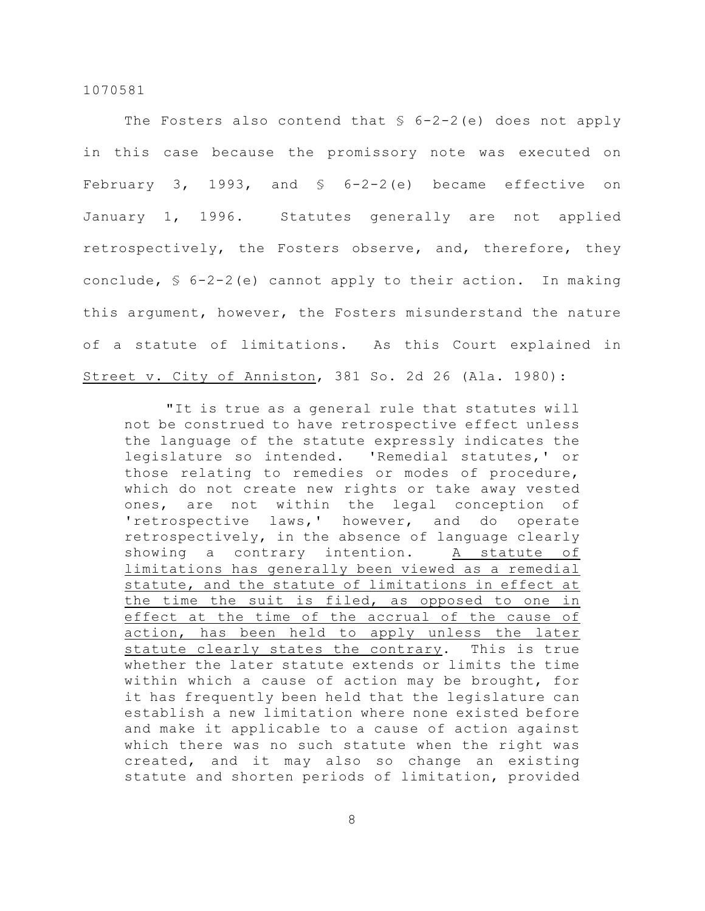The Fosters also contend that  $$ 6-2-2(e)$  does not apply in this case because the promissory note was executed on February 3, 1993, and  $\frac{1}{2}$  6-2-2(e) became effective on January 1, 1996. Statutes generally are not applied retrospectively, the Fosters observe, and, therefore, they conclude, § 6-2-2(e) cannot apply to their action. In making this argument, however, the Fosters misunderstand the nature of a statute of limitations. As this Court explained in Street v. City of Anniston, 381 So. 2d 26 (Ala. 1980):

"It is true as a general rule that statutes will not be construed to have retrospective effect unless the language of the statute expressly indicates the legislature so intended. 'Remedial statutes,' or those relating to remedies or modes of procedure, which do not create new rights or take away vested ones, are not within the legal conception of 'retrospective laws,' however, and do operate retrospectively, in the absence of language clearly showing a contrary intention. A statute of limitations has generally been viewed as a remedial statute, and the statute of limitations in effect at the time the suit is filed, as opposed to one in effect at the time of the accrual of the cause of action, has been held to apply unless the later statute clearly states the contrary. This is true whether the later statute extends or limits the time within which a cause of action may be brought, for it has frequently been held that the legislature can establish a new limitation where none existed before and make it applicable to a cause of action against which there was no such statute when the right was created, and it may also so change an existing statute and shorten periods of limitation, provided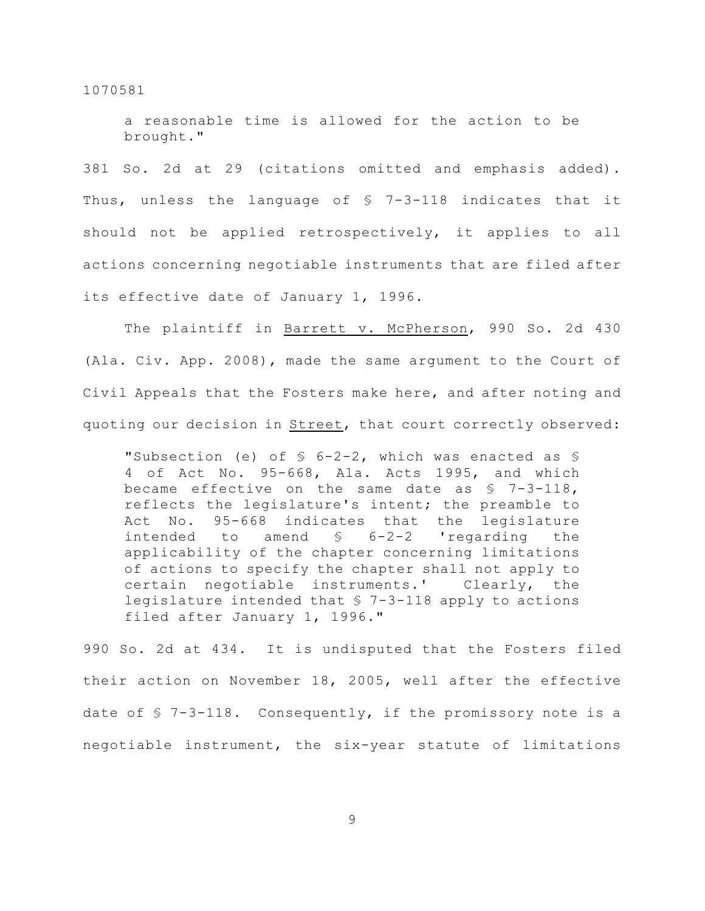a reasonable time is allowed for the action to be brought."

381 So. 2d at 29 (citations omitted and emphasis added). Thus, unless the language of § 7-3-118 indicates that it should not be applied retrospectively, it applies to all actions concerning negotiable instruments that are filed after its effective date of January 1, 1996.

The plaintiff in Barrett v. McPherson, 990 So. 2d 430 (Ala. Civ. App. 2008), made the same argument to the Court of Civil Appeals that the Fosters make here, and after noting and quoting our decision in Street, that court correctly observed:

"Subsection (e) of § 6-2-2, which was enacted as § 4 of Act No. 95-668, Ala. Acts 1995, and which became effective on the same date as  $$7-3-118$ , reflects the legislature's intent; the preamble to Act No. 95-668 indicates that the legislature intended to amend § 6-2-2 'regarding the applicability of the chapter concerning limitations of actions to specify the chapter shall not apply to certain negotiable instruments.' Clearly, the legislature intended that § 7-3-118 apply to actions filed after January 1, 1996."

990 So. 2d at 434. It is undisputed that the Fosters filed their action on November 18, 2005, well after the effective date of § 7-3-118. Consequently, if the promissory note is a negotiable instrument, the six-year statute of limitations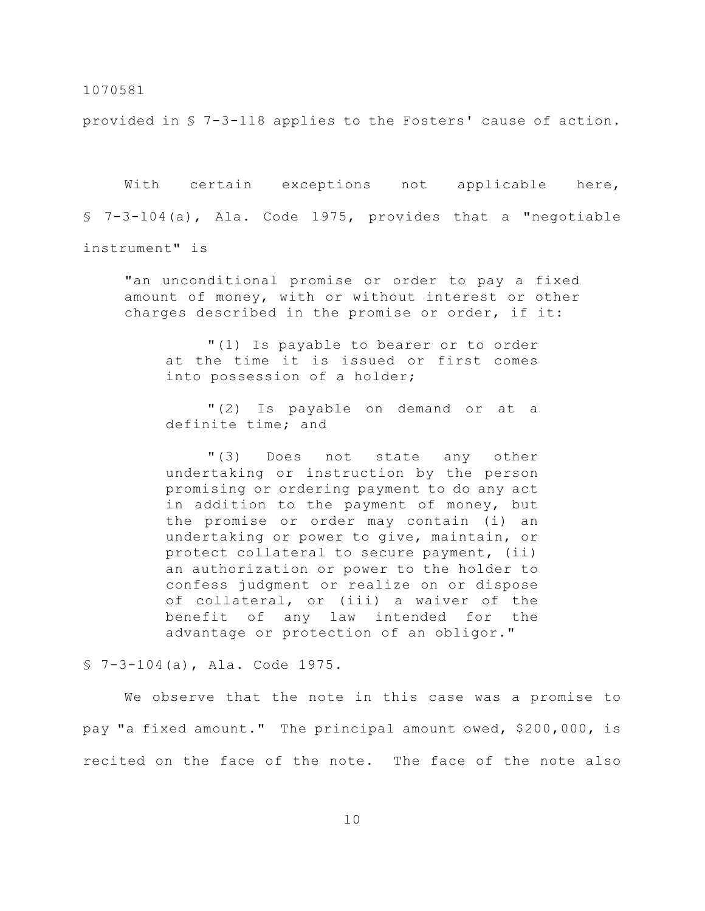provided in § 7-3-118 applies to the Fosters' cause of action.

With certain exceptions not applicable here, § 7-3-104(a), Ala. Code 1975, provides that a "negotiable instrument" is

"an unconditional promise or order to pay a fixed amount of money, with or without interest or other charges described in the promise or order, if it:

"(1) Is payable to bearer or to order at the time it is issued or first comes into possession of a holder;

"(2) Is payable on demand or at a definite time; and

"(3) Does not state any other undertaking or instruction by the person promising or ordering payment to do any act in addition to the payment of money, but the promise or order may contain (i) an undertaking or power to give, maintain, or protect collateral to secure payment, (ii) an authorization or power to the holder to confess judgment or realize on or dispose of collateral, or (iii) a waiver of the benefit of any law intended for the advantage or protection of an obligor."

§ 7-3-104(a), Ala. Code 1975.

We observe that the note in this case was a promise to pay "a fixed amount." The principal amount owed, \$200,000, is recited on the face of the note. The face of the note also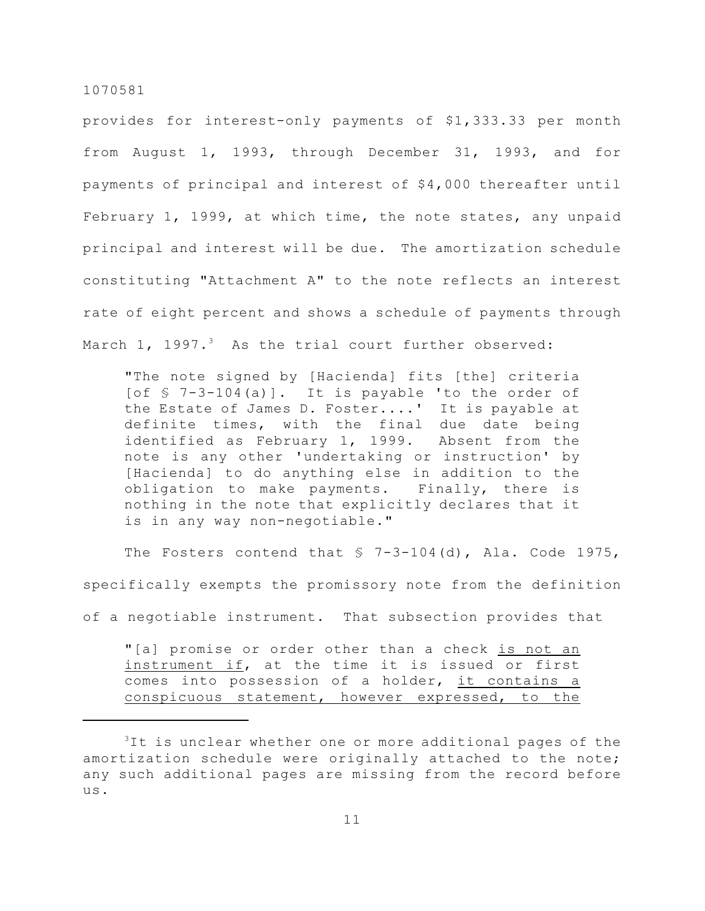provides for interest-only payments of \$1,333.33 per month from August 1, 1993, through December 31, 1993, and for payments of principal and interest of \$4,000 thereafter until February 1, 1999, at which time, the note states, any unpaid principal and interest will be due. The amortization schedule constituting "Attachment A" to the note reflects an interest rate of eight percent and shows a schedule of payments through March 1, 1997. $3$  As the trial court further observed:

"The note signed by [Hacienda] fits [the] criteria [of § 7-3-104(a)]. It is payable 'to the order of the Estate of James D. Foster....' It is payable at definite times, with the final due date being identified as February 1, 1999. Absent from the note is any other 'undertaking or instruction' by [Hacienda] to do anything else in addition to the obligation to make payments. Finally, there is nothing in the note that explicitly declares that it is in any way non-negotiable."

The Fosters contend that  $$ 7-3-104(d)$ , Ala. Code 1975, specifically exempts the promissory note from the definition of a negotiable instrument. That subsection provides that "[a] promise or order other than a check is not an

instrument if, at the time it is issued or first comes into possession of a holder, it contains a conspicuous statement, however expressed, to the

 $3$ It is unclear whether one or more additional pages of the amortization schedule were originally attached to the note; any such additional pages are missing from the record before us.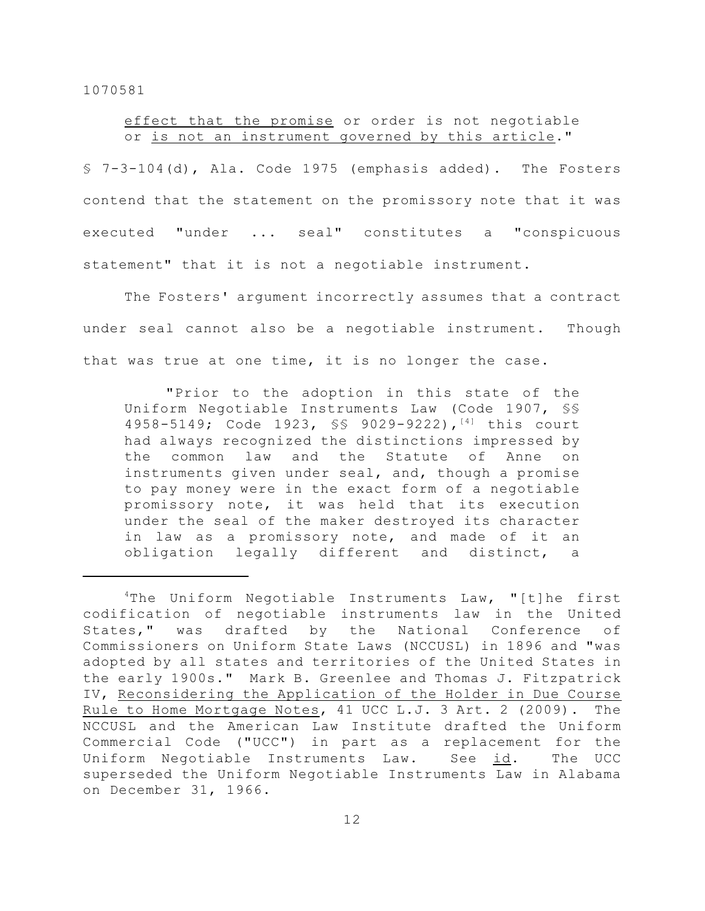# effect that the promise or order is not negotiable or is not an instrument governed by this article."

§ 7-3-104(d), Ala. Code 1975 (emphasis added). The Fosters contend that the statement on the promissory note that it was executed "under ... seal" constitutes a "conspicuous statement" that it is not a negotiable instrument.

The Fosters' argument incorrectly assumes that a contract under seal cannot also be a negotiable instrument. Though that was true at one time, it is no longer the case.

"Prior to the adoption in this state of the Uniform Negotiable Instruments Law (Code 1907, §§ 4958-5149; Code 1923, SS 9029-9222), [4] this court had always recognized the distinctions impressed by the common law and the Statute of Anne on instruments given under seal, and, though a promise to pay money were in the exact form of a negotiable promissory note, it was held that its execution under the seal of the maker destroyed its character in law as a promissory note, and made of it an obligation legally different and distinct, a

 $4$ The Uniform Negotiable Instruments Law, "[t]he first codification of negotiable instruments law in the United States," was drafted by the National Conference of Commissioners on Uniform State Laws (NCCUSL) in 1896 and "was adopted by all states and territories of the United States in the early 1900s." Mark B. Greenlee and Thomas J. Fitzpatrick IV, Reconsidering the Application of the Holder in Due Course Rule to Home Mortgage Notes, 41 UCC L.J. 3 Art. 2 (2009). The NCCUSL and the American Law Institute drafted the Uniform Commercial Code ("UCC") in part as a replacement for the Uniform Negotiable Instruments Law. See id. The UCC superseded the Uniform Negotiable Instruments Law in Alabama on December 31, 1966.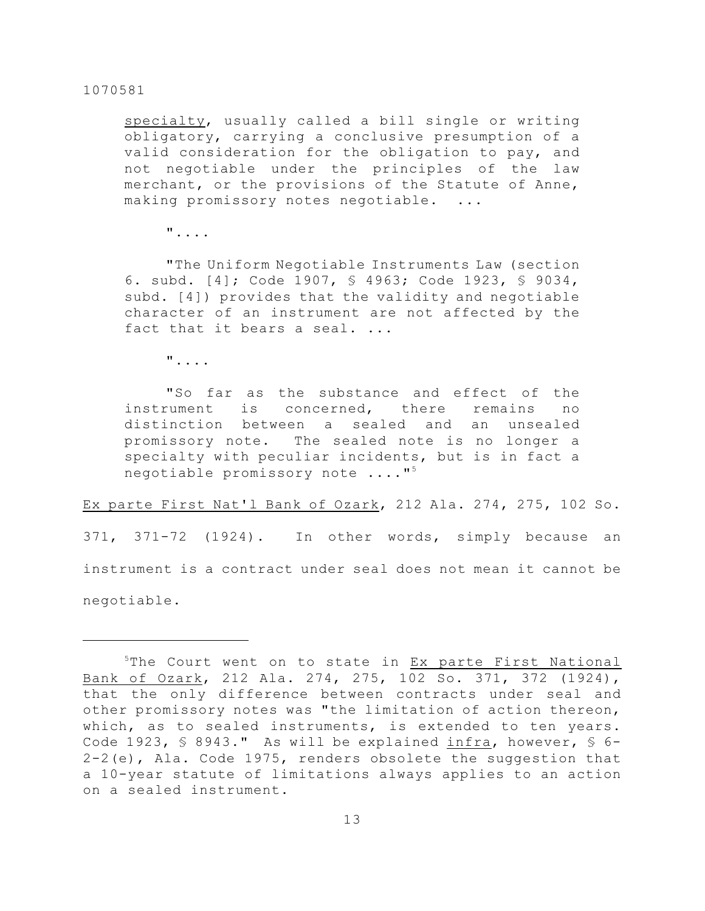specialty, usually called a bill single or writing obligatory, carrying a conclusive presumption of a valid consideration for the obligation to pay, and not negotiable under the principles of the law merchant, or the provisions of the Statute of Anne, making promissory notes negotiable. ...

"....

"The Uniform Negotiable Instruments Law (section 6. subd. [4]; Code 1907, § 4963; Code 1923, § 9034, subd. [4]) provides that the validity and negotiable character of an instrument are not affected by the fact that it bears a seal. ...

"....

"So far as the substance and effect of the instrument is concerned, there remains no distinction between a sealed and an unsealed promissory note. The sealed note is no longer a specialty with peculiar incidents, but is in fact a negotiable promissory note ...."<sup>5</sup>

Ex parte First Nat'l Bank of Ozark, 212 Ala. 274, 275, 102 So. 371, 371-72 (1924). In other words, simply because an instrument is a contract under seal does not mean it cannot be negotiable.

 $5$ The Court went on to state in  $Ex$  parte First National Bank of Ozark, 212 Ala. 274, 275, 102 So. 371, 372 (1924), that the only difference between contracts under seal and other promissory notes was "the limitation of action thereon, which, as to sealed instruments, is extended to ten years. Code 1923,  $\frac{1}{5}$  8943." As will be explained infra, however,  $\frac{1}{5}$  6-2-2(e), Ala. Code 1975, renders obsolete the suggestion that a 10-year statute of limitations always applies to an action on a sealed instrument.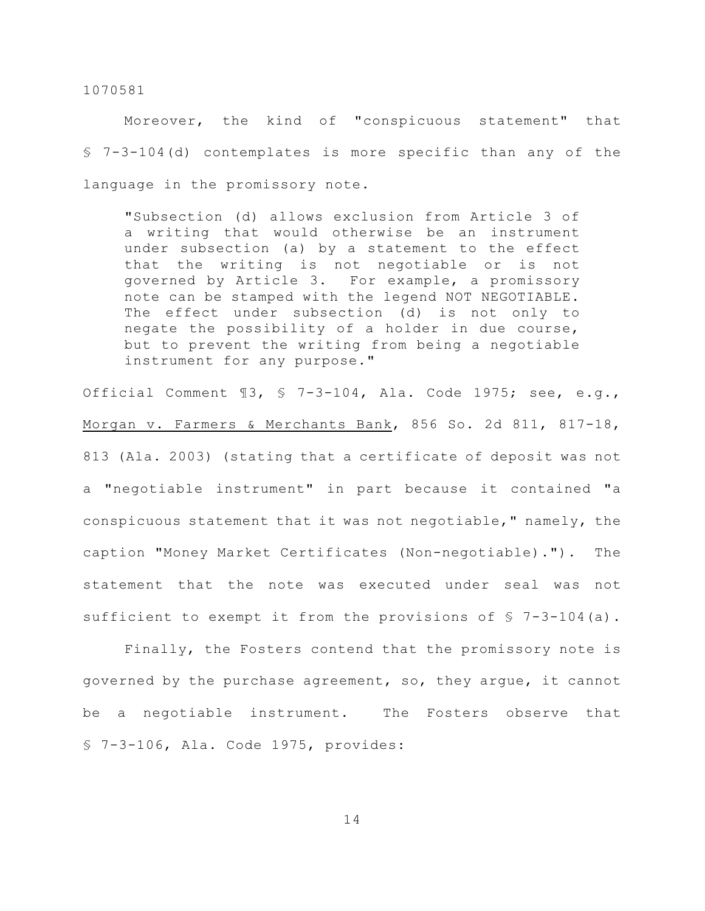Moreover, the kind of "conspicuous statement" that § 7-3-104(d) contemplates is more specific than any of the language in the promissory note.

"Subsection (d) allows exclusion from Article 3 of a writing that would otherwise be an instrument under subsection (a) by a statement to the effect that the writing is not negotiable or is not governed by Article 3. For example, a promissory note can be stamped with the legend NOT NEGOTIABLE. The effect under subsection (d) is not only to negate the possibility of a holder in due course, but to prevent the writing from being a negotiable instrument for any purpose."

Official Comment ¶3, § 7-3-104, Ala. Code 1975; see, e.g., Morgan v. Farmers & Merchants Bank, 856 So. 2d 811, 817-18, 813 (Ala. 2003) (stating that a certificate of deposit was not a "negotiable instrument" in part because it contained "a conspicuous statement that it was not negotiable," namely, the caption "Money Market Certificates (Non-negotiable)."). The statement that the note was executed under seal was not sufficient to exempt it from the provisions of  $\sqrt{5}$  7-3-104(a).

Finally, the Fosters contend that the promissory note is governed by the purchase agreement, so, they argue, it cannot be a negotiable instrument. The Fosters observe that § 7-3-106, Ala. Code 1975, provides: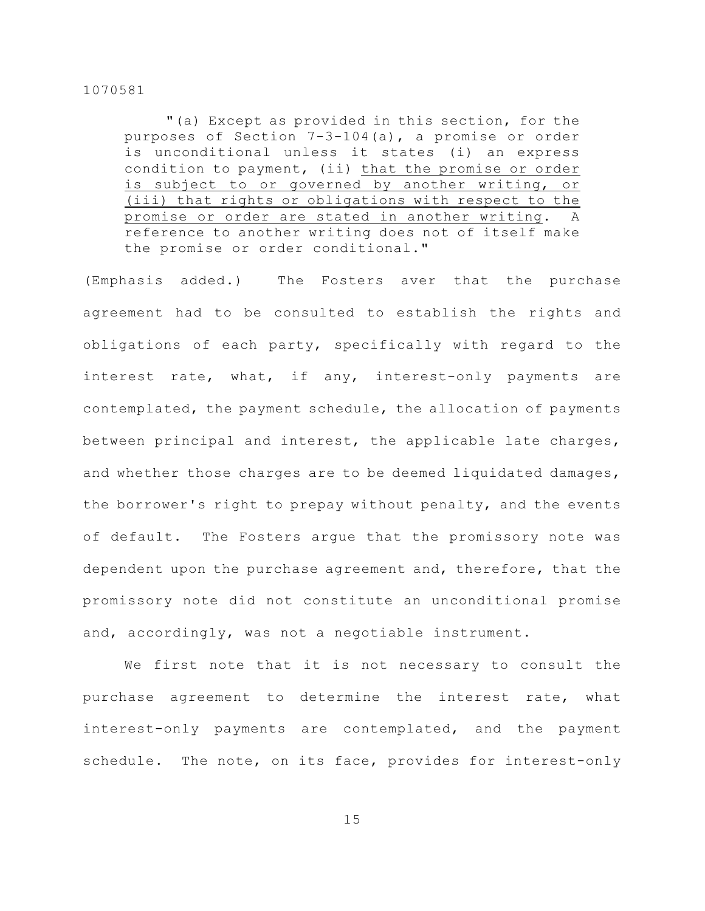"(a) Except as provided in this section, for the purposes of Section 7-3-104(a), a promise or order is unconditional unless it states (i) an express condition to payment, (ii) that the promise or order is subject to or governed by another writing, or (iii) that rights or obligations with respect to the promise or order are stated in another writing. A reference to another writing does not of itself make the promise or order conditional."

(Emphasis added.) The Fosters aver that the purchase agreement had to be consulted to establish the rights and obligations of each party, specifically with regard to the interest rate, what, if any, interest-only payments are contemplated, the payment schedule, the allocation of payments between principal and interest, the applicable late charges, and whether those charges are to be deemed liquidated damages, the borrower's right to prepay without penalty, and the events of default. The Fosters argue that the promissory note was dependent upon the purchase agreement and, therefore, that the promissory note did not constitute an unconditional promise and, accordingly, was not a negotiable instrument.

We first note that it is not necessary to consult the purchase agreement to determine the interest rate, what interest-only payments are contemplated, and the payment schedule. The note, on its face, provides for interest-only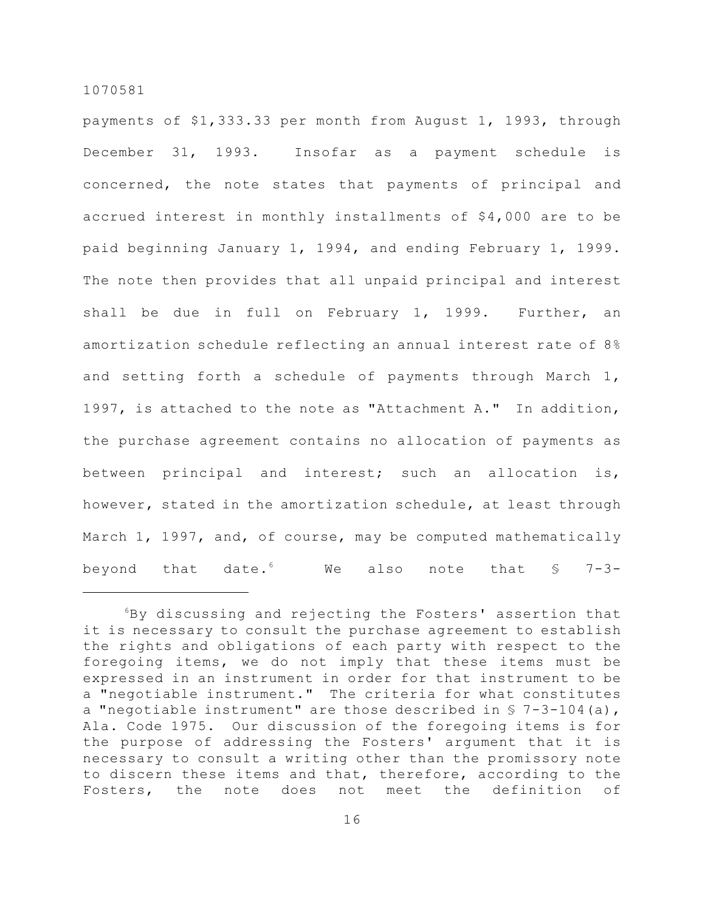payments of \$1,333.33 per month from August 1, 1993, through December 31, 1993. Insofar as a payment schedule is concerned, the note states that payments of principal and accrued interest in monthly installments of \$4,000 are to be paid beginning January 1, 1994, and ending February 1, 1999. The note then provides that all unpaid principal and interest shall be due in full on February 1, 1999. Further, an amortization schedule reflecting an annual interest rate of 8% and setting forth a schedule of payments through March 1, 1997, is attached to the note as "Attachment A." In addition, the purchase agreement contains no allocation of payments as between principal and interest; such an allocation is, however, stated in the amortization schedule, at least through March 1, 1997, and, of course, may be computed mathematically beyond that date. We also note that  $\frac{1}{5}$  7-3-

 $6By$  discussing and rejecting the Fosters' assertion that it is necessary to consult the purchase agreement to establish the rights and obligations of each party with respect to the foregoing items, we do not imply that these items must be expressed in an instrument in order for that instrument to be a "negotiable instrument." The criteria for what constitutes a "negotiable instrument" are those described in  $\S$  7-3-104(a), Ala. Code 1975. Our discussion of the foregoing items is for the purpose of addressing the Fosters' argument that it is necessary to consult a writing other than the promissory note to discern these items and that, therefore, according to the Fosters, the note does not meet the definition of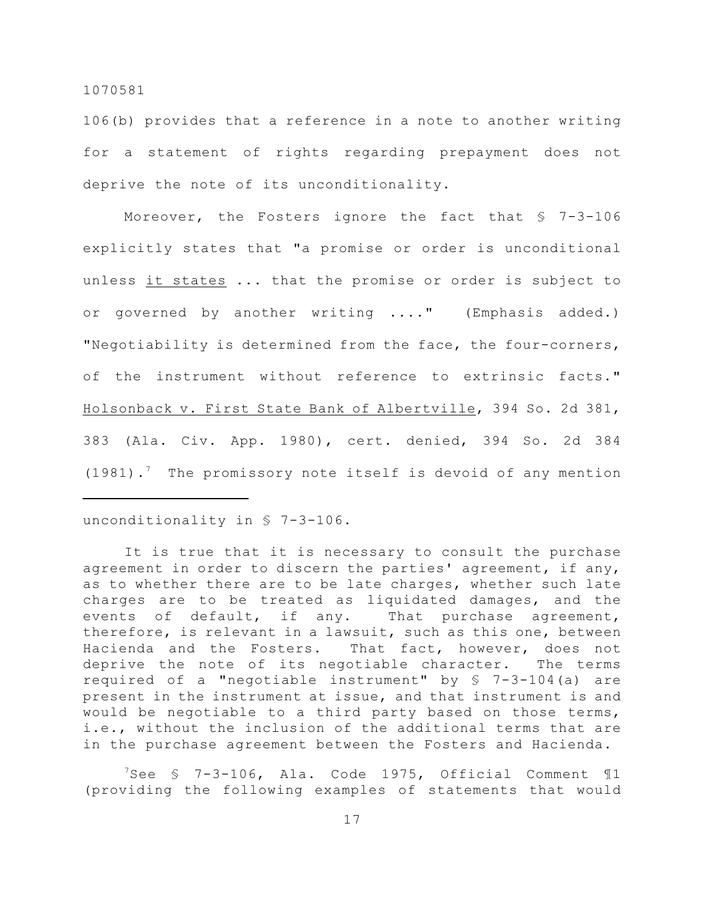106(b) provides that a reference in a note to another writing for a statement of rights regarding prepayment does not deprive the note of its unconditionality.

Moreover, the Fosters ignore the fact that § 7-3-106 explicitly states that "a promise or order is unconditional unless it states ... that the promise or order is subject to or governed by another writing ...." (Emphasis added.) "Negotiability is determined from the face, the four-corners, of the instrument without reference to extrinsic facts." Holsonback v. First State Bank of Albertville, 394 So. 2d 381, 383 (Ala. Civ. App. 1980), cert. denied, 394 So. 2d 384 (1981).<sup>7</sup> The promissory note itself is devoid of any mention

### unconditionality in § 7-3-106.

It is true that it is necessary to consult the purchase agreement in order to discern the parties' agreement, if any, as to whether there are to be late charges, whether such late charges are to be treated as liquidated damages, and the events of default, if any. That purchase agreement, therefore, is relevant in a lawsuit, such as this one, between Hacienda and the Fosters. That fact, however, does not deprive the note of its negotiable character. The terms required of a "negotiable instrument" by § 7-3-104(a) are present in the instrument at issue, and that instrument is and would be negotiable to a third party based on those terms, i.e., without the inclusion of the additional terms that are in the purchase agreement between the Fosters and Hacienda.

 $7$ See  $\frac{1}{2}$  7-3-106, Ala. Code 1975, Official Comment  $\mathbb{1}$ (providing the following examples of statements that would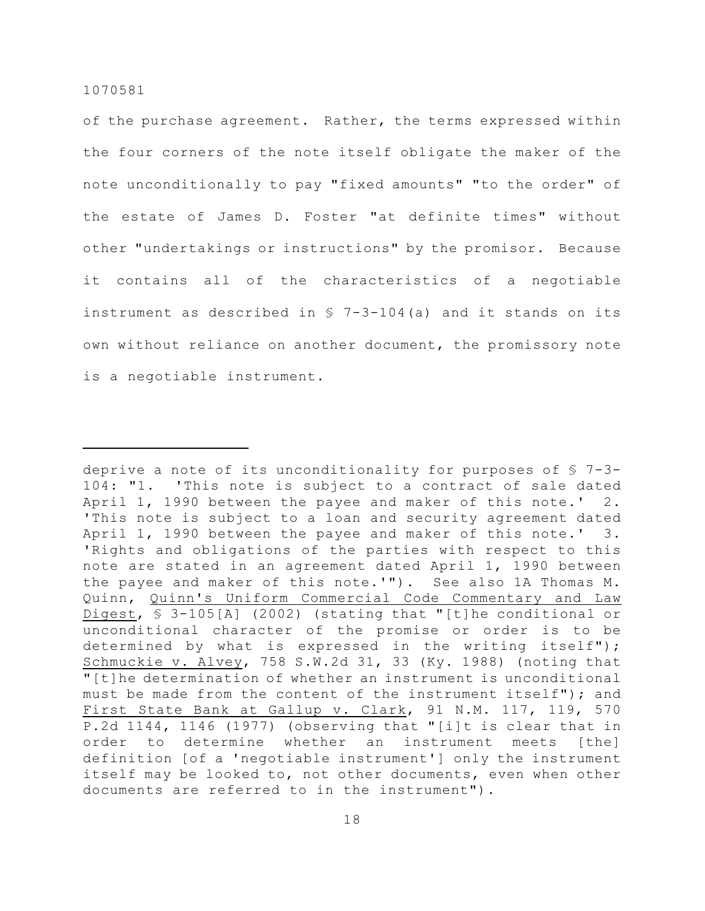of the purchase agreement. Rather, the terms expressed within the four corners of the note itself obligate the maker of the note unconditionally to pay "fixed amounts" "to the order" of the estate of James D. Foster "at definite times" without other "undertakings or instructions" by the promisor. Because it contains all of the characteristics of a negotiable instrument as described in  $S$  7-3-104(a) and it stands on its own without reliance on another document, the promissory note is a negotiable instrument.

deprive a note of its unconditionality for purposes of  $$7-3-$ 104: "1. 'This note is subject to a contract of sale dated April 1, 1990 between the payee and maker of this note.' 2. 'This note is subject to a loan and security agreement dated April 1, 1990 between the payee and maker of this note.' 3. 'Rights and obligations of the parties with respect to this note are stated in an agreement dated April 1, 1990 between the payee and maker of this note.'"). See also 1A Thomas M. Quinn, Quinn's Uniform Commercial Code Commentary and Law Digest, § 3-105[A] (2002) (stating that "[t]he conditional or unconditional character of the promise or order is to be determined by what is expressed in the writing itself"); Schmuckie v. Alvey, 758 S.W.2d 31, 33 (Ky. 1988) (noting that "[t]he determination of whether an instrument is unconditional must be made from the content of the instrument itself"); and First State Bank at Gallup v. Clark, 91 N.M. 117, 119, 570 P.2d 1144, 1146 (1977) (observing that "[i]t is clear that in order to determine whether an instrument meets [the] definition [of a 'negotiable instrument'] only the instrument itself may be looked to, not other documents, even when other documents are referred to in the instrument").